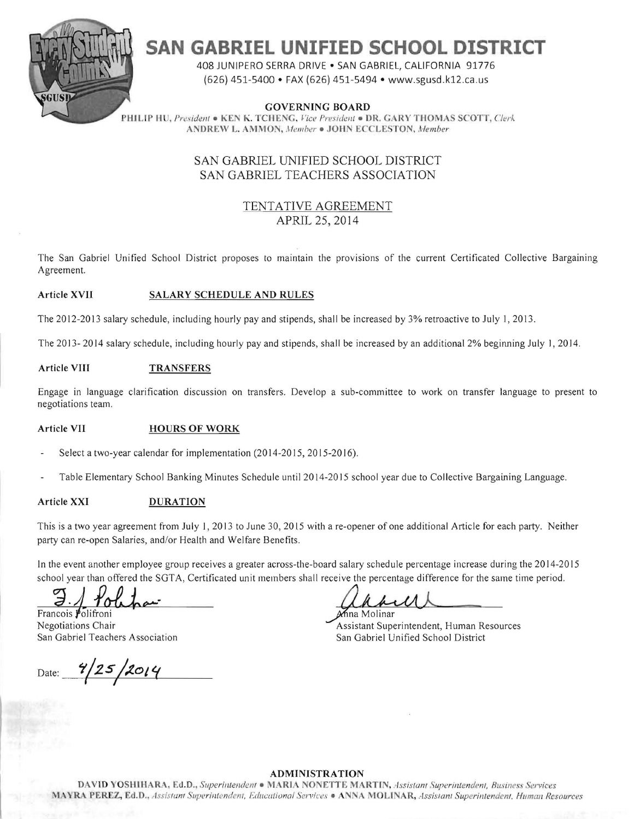

# **SAN GABRIEL UNIFIED SCHOOL DISTRICT**

408 JUNIPERO SERRA DRIVE • SAN GABRIEL, CALIFORNIA 91776 (626) 451-5400 • FAX (626) 451-5494 • www.sgusd.k12.ca .us

GOVERNING BOARD PHILIP HU, President • KEN K. TCHENG, *Vice President* • DR. GARY THOMAS SCOTT, *Clerk* **ANDREW L. AMMON, Member . JOHN ECCLESTON, Member** 

# SAN GABRIEL UNIFIED SCHOOL DISTRICT SAN GABRIEL TEACHERS ASSOCIATION

## TENTATIVE AGREEMENT APRIL 25, 2014

The San Gabriel Unified School District proposes to maintain the provisions of the current Certificated Collective Bargaining Agreement.

#### Article XVII SALARY SCHEDULE AND RULES

The 2012-2013 salary schedule, including hourly pay and stipends, shall be increased by 3% retroactive to July 1,2013.

The 2013- 2014 salary schedule, including hourly pay and stipends, shall be increased by an additional 2% beginning July I, 2014.

#### Article VIII TRANSFERS

Engage in language clarification discussion on transfers. Develop a sub-committee to work on transfer language to present to negotiations team.

#### Article VII **HOURS OF WORK**

- Select a two-year calendar for implementation (2014-2015, 2015-2016).
- Table Elementary School Banking Minutes Schedule until 20 14-20 15 school year due to Collective Bargaining Language.

#### Article XXI DURATION

This is a two year agreement from July 1,2013 to June 30, 2015 with a re-opener of one additional Article for each party. Neither party can re-open Salaries, and/or Health and Welfare Benefits.

In the event another employee group receives a greater across-the-board salary schedule percentage increase during the 2014-2015 school year than offered the SGTA, Certificated unit members shall receive the percentage difference for the same time period.

 $\frac{\partial}{\partial n}$  Youthor  $\frac{\partial}{\partial n}$  rancois Politioni

Date: **4/25/2014** 

Negotiations Chair Assistant Superintendent, Human Resources San Gabriel Teachers Association San Gabriel Unified School District

#### **ADMINISTRATION**

DAVID YOSHIHARA, Ed.D., Superintendent · MARIA NONETTE MARTIN, Assistant Superintendent, Business Services MAYRA PEREZ, Ed.D., Assistant Superintendent, Educational Services • ANNA MOLINAR, Assistant Superintendent. Human Resources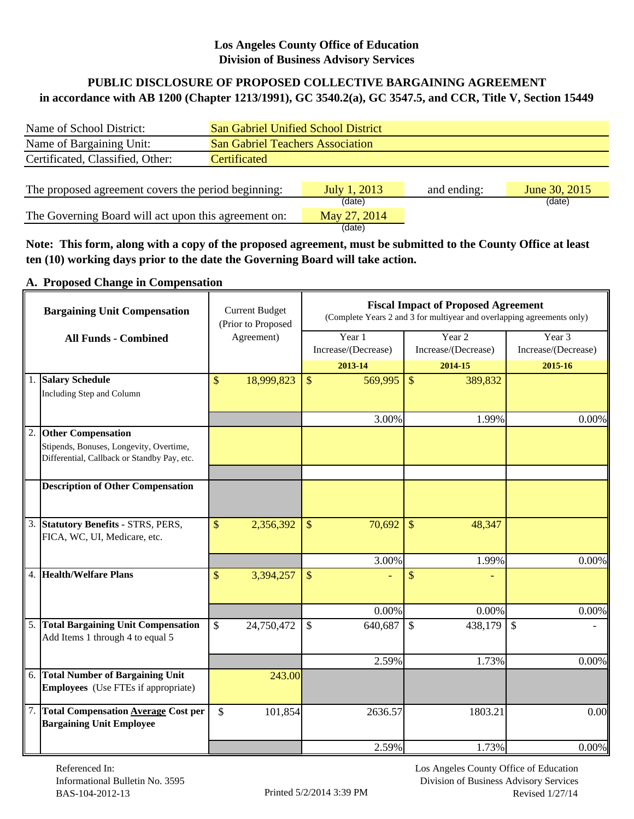## **Los Angeles County Office of Education Division of Business Advisory Services**

## **in accordance with AB 1200 (Chapter 1213/1991), GC 3540.2(a), GC 3547.5, and CCR, Title V, Section 15449 PUBLIC DISCLOSURE OF PROPOSED COLLECTIVE BARGAINING AGREEMENT**

| Name of School District:                             | <b>San Gabriel Unified School District</b> |                                         |             |               |  |  |  |  |  |
|------------------------------------------------------|--------------------------------------------|-----------------------------------------|-------------|---------------|--|--|--|--|--|
| Name of Bargaining Unit:                             |                                            | <b>San Gabriel Teachers Association</b> |             |               |  |  |  |  |  |
| Certificated, Classified, Other:                     | Certificated                               |                                         |             |               |  |  |  |  |  |
|                                                      |                                            |                                         |             |               |  |  |  |  |  |
| The proposed agreement covers the period beginning:  |                                            | July 1, 2013                            | and ending: | June 30, 2015 |  |  |  |  |  |
|                                                      |                                            | (date)                                  |             | (date)        |  |  |  |  |  |
| The Governing Board will act upon this agreement on: |                                            | May 27, 2014                            |             |               |  |  |  |  |  |
|                                                      |                                            | (date)                                  |             |               |  |  |  |  |  |

**Note: This form, along with a copy of the proposed agreement, must be submitted to the County Office at least ten (10) working days prior to the date the Governing Board will take action.**

#### **A. Proposed Change in Compensation**

| <b>Bargaining Unit Compensation</b> |                                                                                                                     |              | <b>Current Budget</b><br>(Prior to Proposed |               | <b>Fiscal Impact of Proposed Agreement</b><br>(Complete Years 2 and 3 for multiyear and overlapping agreements only) |               |                               |                               |         |  |  |
|-------------------------------------|---------------------------------------------------------------------------------------------------------------------|--------------|---------------------------------------------|---------------|----------------------------------------------------------------------------------------------------------------------|---------------|-------------------------------|-------------------------------|---------|--|--|
|                                     | <b>All Funds - Combined</b>                                                                                         |              | Agreement)                                  |               | Year 1<br>Increase/(Decrease)                                                                                        |               | Year 2<br>Increase/(Decrease) | Year 3<br>Increase/(Decrease) |         |  |  |
|                                     |                                                                                                                     |              |                                             |               | 2013-14                                                                                                              |               | 2014-15                       |                               | 2015-16 |  |  |
|                                     | 1. Salary Schedule<br>Including Step and Column                                                                     | $\mathbb{S}$ | 18,999,823                                  | $\mathcal{S}$ | 569,995                                                                                                              | $\mathcal{S}$ | 389,832                       |                               |         |  |  |
|                                     |                                                                                                                     |              |                                             |               | 3.00%                                                                                                                |               | 1.99%                         |                               | 0.00%   |  |  |
| 2.                                  | <b>Other Compensation</b><br>Stipends, Bonuses, Longevity, Overtime,<br>Differential, Callback or Standby Pay, etc. |              |                                             |               |                                                                                                                      |               |                               |                               |         |  |  |
|                                     | <b>Description of Other Compensation</b>                                                                            |              |                                             |               |                                                                                                                      |               |                               |                               |         |  |  |
|                                     | 3. Statutory Benefits - STRS, PERS,<br>FICA, WC, UI, Medicare, etc.                                                 | \$           | 2,356,392                                   | $\mathcal{S}$ | 70,692                                                                                                               | $\mathbb{S}$  | 48,347                        |                               |         |  |  |
|                                     |                                                                                                                     |              |                                             |               | 3.00%                                                                                                                |               | 1.99%                         |                               | 0.00%   |  |  |
|                                     | 4. Health/Welfare Plans                                                                                             | \$           | 3,394,257                                   | $\mathcal{S}$ |                                                                                                                      | \$            |                               |                               |         |  |  |
|                                     |                                                                                                                     |              |                                             |               | 0.00%                                                                                                                |               | 0.00%                         |                               | 0.00%   |  |  |
|                                     | 5. Total Bargaining Unit Compensation<br>Add Items 1 through 4 to equal 5                                           | $\mathbb{S}$ | 24,750,472                                  | $\mathcal{S}$ | 640,687                                                                                                              | $\mathcal{S}$ | 438,179                       | $\mathcal{S}$                 |         |  |  |
|                                     |                                                                                                                     |              |                                             |               | 2.59%                                                                                                                |               | 1.73%                         |                               | 0.00%   |  |  |
|                                     | 6. Total Number of Bargaining Unit<br><b>Employees</b> (Use FTEs if appropriate)                                    |              | 243.00                                      |               |                                                                                                                      |               |                               |                               |         |  |  |
|                                     | 7. Total Compensation Average Cost per<br><b>Bargaining Unit Employee</b>                                           | \$           | 101,854                                     |               | 2636.57                                                                                                              |               | 1803.21                       |                               | 0.00    |  |  |
|                                     |                                                                                                                     |              |                                             |               | 2.59%                                                                                                                |               | 1.73%                         |                               | 0.00%   |  |  |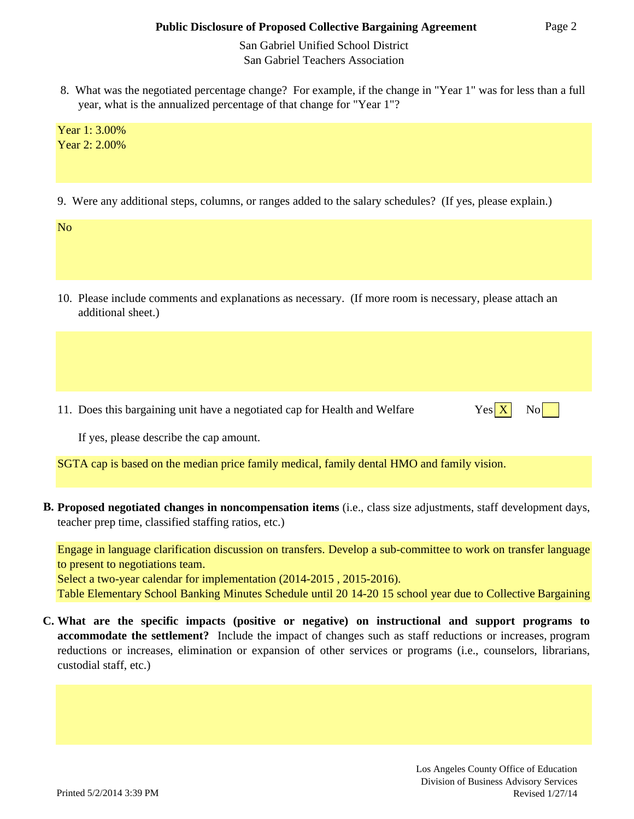San Gabriel Unified School District San Gabriel Teachers Association

 8. What was the negotiated percentage change? For example, if the change in "Year 1" was for less than a full year, what is the annualized percentage of that change for "Year 1"?

Year 1: 3.00% Year 2: 2.00%

9. Were any additional steps, columns, or ranges added to the salary schedules? (If yes, please explain.)

No

 additional sheet.) 10. Please include comments and explanations as necessary. (If more room is necessary, please attach an

11. Does this bargaining unit have a negotiated cap for Health and Welfare



If yes, please describe the cap amount.

SGTA cap is based on the median price family medical, family dental HMO and family vision.

**B. Proposed negotiated changes in noncompensation items** (i.e., class size adjustments, staff development days, teacher prep time, classified staffing ratios, etc.)

Engage in language clarification discussion on transfers. Develop a sub-committee to work on transfer language to present to negotiations team.

Select a two-year calendar for implementation (2014-2015 , 2015-2016).

Table Elementary School Banking Minutes Schedule until 20 14-20 15 school year due to Collective Bargaining

**C. What are the specific impacts (positive or negative) on instructional and support programs to accommodate the settlement?** Include the impact of changes such as staff reductions or increases, program reductions or increases, elimination or expansion of other services or programs (i.e., counselors, librarians, custodial staff, etc.)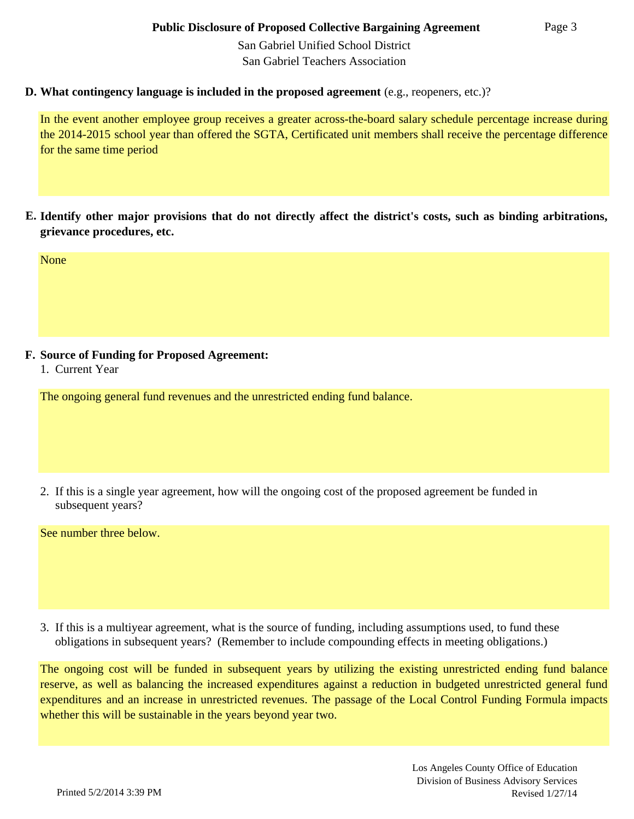San Gabriel Unified School District San Gabriel Teachers Association

#### **D. What contingency language is included in the proposed agreement** (e.g., reopeners, etc.)?

In the event another employee group receives a greater across-the-board salary schedule percentage increase during the 2014-2015 school year than offered the SGTA, Certificated unit members shall receive the percentage difference for the same time period

**E. Identify other major provisions that do not directly affect the district's costs, such as binding arbitrations, grievance procedures, etc.**

None

## **F. Source of Funding for Proposed Agreement:**

1. Current Year

The ongoing general fund revenues and the unrestricted ending fund balance.

 subsequent years? 2. If this is a single year agreement, how will the ongoing cost of the proposed agreement be funded in

See number three below.

3. If this is a multiyear agreement, what is the source of funding, including assumptions used, to fund these obligations in subsequent years? (Remember to include compounding effects in meeting obligations.)

The ongoing cost will be funded in subsequent years by utilizing the existing unrestricted ending fund balance reserve, as well as balancing the increased expenditures against a reduction in budgeted unrestricted general fund expenditures and an increase in unrestricted revenues. The passage of the Local Control Funding Formula impacts whether this will be sustainable in the years beyond year two.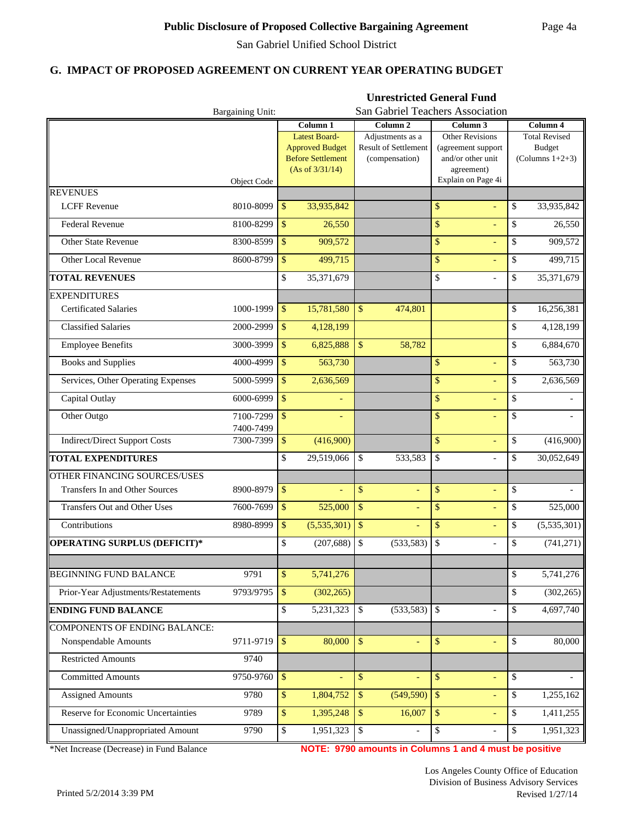**Unrestricted General Fund**

#### **G. IMPACT OF PROPOSED AGREEMENT ON CURRENT YEAR OPERATING BUDGET**

|                                      | Bargaining Unit:       | San Gabriel Teachers Association |                                                    |                    |                                        |                         |                                         |    |                                     |
|--------------------------------------|------------------------|----------------------------------|----------------------------------------------------|--------------------|----------------------------------------|-------------------------|-----------------------------------------|----|-------------------------------------|
|                                      |                        |                                  | Column 1                                           |                    | Column <sub>2</sub>                    |                         | Column <sub>3</sub>                     |    | Column 4                            |
|                                      |                        |                                  | <b>Latest Board-</b>                               |                    | Adjustments as a                       |                         | <b>Other Revisions</b>                  |    | <b>Total Revised</b>                |
|                                      |                        |                                  | <b>Approved Budget</b><br><b>Before Settlement</b> |                    | Result of Settlement<br>(compensation) |                         | (agreement support<br>and/or other unit |    | <b>Budget</b><br>(Columns $1+2+3$ ) |
|                                      |                        |                                  | (As of 3/31/14)                                    |                    |                                        |                         | agreement)                              |    |                                     |
|                                      | <b>Object Code</b>     |                                  |                                                    |                    |                                        |                         | Explain on Page 4i                      |    |                                     |
| <b>REVENUES</b>                      |                        |                                  |                                                    |                    |                                        |                         |                                         |    |                                     |
| <b>LCFF</b> Revenue                  | 8010-8099              | \$                               | 33,935,842                                         |                    |                                        | \$                      | ÷,                                      | \$ | 33,935,842                          |
| Federal Revenue                      | 8100-8299              | \$                               | 26,550                                             |                    |                                        | \$                      | L,                                      | \$ | 26,550                              |
| <b>Other State Revenue</b>           | 8300-8599              | \$                               | 909,572                                            |                    |                                        | \$                      | Ξ                                       | \$ | 909,572                             |
| Other Local Revenue                  | 8600-8799              | \$                               | 499,715                                            |                    |                                        | \$                      |                                         | \$ | 499,715                             |
| <b>TOTAL REVENUES</b>                |                        | \$                               | 35,371,679                                         |                    |                                        | \$                      | $\overline{a}$                          | \$ | 35,371,679                          |
| <b>EXPENDITURES</b>                  |                        |                                  |                                                    |                    |                                        |                         |                                         |    |                                     |
| <b>Certificated Salaries</b>         | 1000-1999              | \$                               | 15,781,580                                         | $\mathbb{S}$       | 474,801                                |                         |                                         | \$ | 16,256,381                          |
| <b>Classified Salaries</b>           | 2000-2999              | $\mathbb{S}$                     | 4,128,199                                          |                    |                                        |                         |                                         | \$ | 4,128,199                           |
| <b>Employee Benefits</b>             | 3000-3999              | $\mathbf{\hat{S}}$               | 6,825,888                                          | $\mathbf{\hat{S}}$ | 58,782                                 |                         |                                         | \$ | 6,884,670                           |
| <b>Books and Supplies</b>            | 4000-4999              | $\mathbb{S}$                     | 563,730                                            |                    |                                        | $\mathbb{S}$            | ÷,                                      | \$ | 563,730                             |
| Services, Other Operating Expenses   | 5000-5999              | $\mathbb{S}$                     | 2,636,569                                          |                    |                                        | \$                      | L,                                      | \$ | 2,636,569                           |
| Capital Outlay                       | 6000-6999              | \$                               |                                                    |                    |                                        | \$                      | L,                                      | \$ |                                     |
| Other Outgo                          | 7100-7299<br>7400-7499 | \$                               |                                                    |                    |                                        | \$                      | ÷,                                      | \$ |                                     |
| <b>Indirect/Direct Support Costs</b> | 7300-7399              | \$                               | (416,900)                                          |                    |                                        | \$                      | Ξ                                       | \$ | (416,900)                           |
| <b>TOTAL EXPENDITURES</b>            |                        | \$                               | 29,519,066                                         | \$                 | 533,583                                | \$                      |                                         | \$ | 30,052,649                          |
| OTHER FINANCING SOURCES/USES         |                        |                                  |                                                    |                    |                                        |                         |                                         |    |                                     |
| Transfers In and Other Sources       | 8900-8979              | \$                               | $\equiv$                                           | \$                 | ÷                                      | \$                      | L,                                      | \$ |                                     |
| Transfers Out and Other Uses         | 7600-7699              | \$                               | 525,000                                            | \$                 |                                        | \$                      | ÷,                                      | \$ | 525,000                             |
| Contributions                        | 8980-8999              | $\mathbb{S}$                     | (5,535,301)                                        | $\sqrt{\ }$        |                                        | \$                      |                                         | \$ | (5,535,301)                         |
| OPERATING SURPLUS (DEFICIT)*         |                        | \$                               | (207, 688)                                         | $\mathbb{S}$       | (533, 583)                             | \$                      | $\overline{a}$                          | \$ | (741, 271)                          |
|                                      |                        |                                  |                                                    |                    |                                        |                         |                                         |    |                                     |
| <b>BEGINNING FUND BALANCE</b>        | 9791                   | \$                               | 5,741,276                                          |                    |                                        |                         |                                         | \$ | 5,741,276                           |
| Prior-Year Adjustments/Restatements  | 9793/9795              | $\mathbb{S}$                     | (302, 265)                                         |                    |                                        |                         |                                         | \$ | (302, 265)                          |
| <b>ENDING FUND BALANCE</b>           |                        | \$                               | 5,231,323                                          | $\mathbb{S}$       | (533, 583)                             | $\mathcal{S}$           | $\overline{a}$                          | \$ | 4,697,740                           |
| <b>COMPONENTS OF ENDING BALANCE:</b> |                        |                                  |                                                    |                    |                                        |                         |                                         |    |                                     |
| Nonspendable Amounts                 | 9711-9719              | \$                               | 80,000                                             | $\mathbb{S}$       | Ξ                                      | \$                      | ÷,                                      | \$ | 80,000                              |
| <b>Restricted Amounts</b>            | 9740                   |                                  |                                                    |                    |                                        |                         |                                         |    |                                     |
| <b>Committed Amounts</b>             | 9750-9760              | \$                               | ÷.                                                 | $\mathbb{S}$       |                                        | \$                      | Ξ                                       | \$ |                                     |
| <b>Assigned Amounts</b>              | 9780                   | \$                               | 1,804,752                                          | $\sqrt[6]{3}$      | (549, 590)                             | $\sqrt[6]{\frac{1}{2}}$ | ÷,                                      | \$ | 1,255,162                           |
| Reserve for Economic Uncertainties   | 9789                   | \$                               | 1,395,248                                          | $\mathbb{S}$       | 16,007                                 | $\sqrt[6]{\frac{1}{2}}$ | ÷,                                      | \$ | 1,411,255                           |
| Unassigned/Unappropriated Amount     | 9790                   | \$                               | 1,951,323                                          | $\mathbb{S}$       |                                        | \$                      | $\frac{1}{2}$                           | \$ | 1,951,323                           |

\*Net Increase (Decrease) in Fund Balance

**NOTE: 9790 amounts in Columns 1 and 4 must be positive**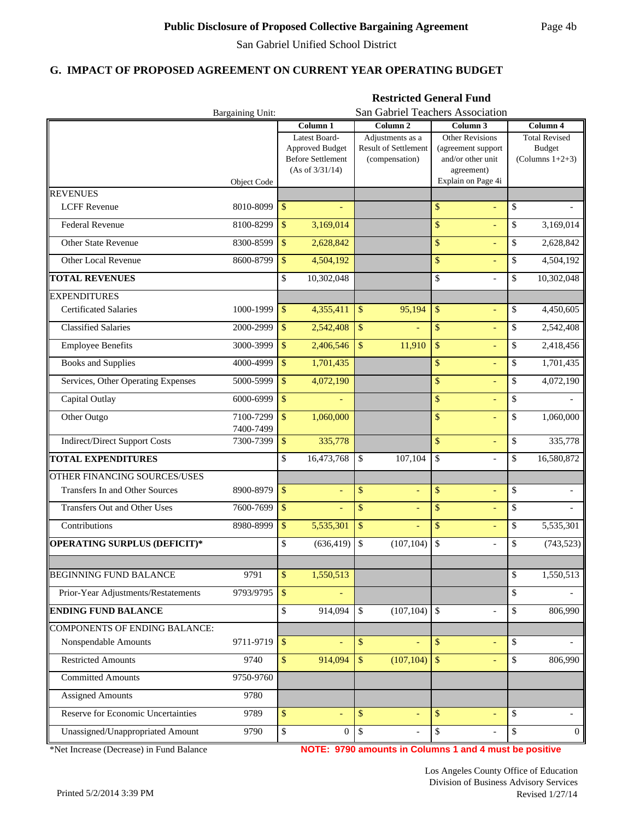**Restricted General Fund**

#### **G. IMPACT OF PROPOSED AGREEMENT ON CURRENT YEAR OPERATING BUDGET**

|                                        | Bargaining Unit:       |                    |                                                                                 |                    | San Gabriel Teachers Association                           |               |                                                                                 |    |                                                             |  |  |
|----------------------------------------|------------------------|--------------------|---------------------------------------------------------------------------------|--------------------|------------------------------------------------------------|---------------|---------------------------------------------------------------------------------|----|-------------------------------------------------------------|--|--|
|                                        |                        |                    | Column <sub>1</sub>                                                             |                    | Column <sub>2</sub>                                        |               | Column <sub>3</sub>                                                             |    | Column 4                                                    |  |  |
|                                        |                        |                    | Latest Board-<br>Approved Budget<br><b>Before Settlement</b><br>(As of 3/31/14) |                    | Adjustments as a<br>Result of Settlement<br>(compensation) |               | <b>Other Revisions</b><br>(agreement support<br>and/or other unit<br>agreement) |    | <b>Total Revised</b><br><b>Budget</b><br>(Columns $1+2+3$ ) |  |  |
|                                        | Object Code            |                    |                                                                                 |                    |                                                            |               | Explain on Page 4i                                                              |    |                                                             |  |  |
| <b>REVENUES</b><br><b>LCFF Revenue</b> | 8010-8099              | \$                 |                                                                                 |                    |                                                            | \$            | ÷,                                                                              | \$ |                                                             |  |  |
| Federal Revenue                        | 8100-8299              | \$                 | 3,169,014                                                                       |                    |                                                            | \$            | L,                                                                              | \$ | 3,169,014                                                   |  |  |
| <b>Other State Revenue</b>             | 8300-8599              | \$                 | 2,628,842                                                                       |                    |                                                            | \$            | Ξ                                                                               | \$ | 2,628,842                                                   |  |  |
| Other Local Revenue                    | 8600-8799              | \$                 | 4,504,192                                                                       |                    |                                                            | \$            |                                                                                 | \$ | 4,504,192                                                   |  |  |
| <b>TOTAL REVENUES</b>                  |                        | \$                 | 10,302,048                                                                      |                    |                                                            | \$            | $\overline{a}$                                                                  | \$ | 10,302,048                                                  |  |  |
| <b>EXPENDITURES</b>                    |                        |                    |                                                                                 |                    |                                                            |               |                                                                                 |    |                                                             |  |  |
| <b>Certificated Salaries</b>           | 1000-1999              | \$                 | 4,355,411                                                                       | $\sqrt{\ }$        | 95,194                                                     | \$            | L,                                                                              | \$ | 4,450,605                                                   |  |  |
| <b>Classified Salaries</b>             | 2000-2999              | $\mathbb{S}$       | 2,542,408                                                                       | \$                 |                                                            | \$            | ÷,                                                                              | \$ | 2,542,408                                                   |  |  |
| <b>Employee Benefits</b>               | 3000-3999              | $\mathbf{\hat{S}}$ | 2,406,546                                                                       | $\mathbb{S}$       | 11,910                                                     | \$            |                                                                                 | \$ | 2,418,456                                                   |  |  |
| <b>Books and Supplies</b>              | 4000-4999              | $\mathbb{S}$       | 1,701,435                                                                       |                    |                                                            | $\mathsf{\$}$ | ÷,                                                                              | \$ | 1,701,435                                                   |  |  |
| Services, Other Operating Expenses     | 5000-5999              | $\mathbb{S}$       | 4,072,190                                                                       |                    |                                                            | \$            | L,                                                                              | \$ | 4,072,190                                                   |  |  |
| Capital Outlay                         | 6000-6999              | $\mathbf{\hat{S}}$ |                                                                                 |                    |                                                            | \$            | Ξ                                                                               | \$ |                                                             |  |  |
| Other Outgo                            | 7100-7299<br>7400-7499 | \$                 | 1,060,000                                                                       |                    |                                                            | \$            | Ξ                                                                               | \$ | 1,060,000                                                   |  |  |
| <b>Indirect/Direct Support Costs</b>   | 7300-7399              | \$                 | 335,778                                                                         |                    |                                                            | \$            | ÷,                                                                              | \$ | 335,778                                                     |  |  |
| <b>TOTAL EXPENDITURES</b>              |                        | \$                 | 16,473,768                                                                      | \$                 | 107,104                                                    | \$            |                                                                                 | \$ | 16,580,872                                                  |  |  |
| OTHER FINANCING SOURCES/USES           |                        |                    |                                                                                 |                    |                                                            |               |                                                                                 |    |                                                             |  |  |
| Transfers In and Other Sources         | 8900-8979              | \$                 | $\equiv$                                                                        | \$                 | ÷                                                          | \$            | L,                                                                              | \$ |                                                             |  |  |
| Transfers Out and Other Uses           | 7600-7699              | \$                 |                                                                                 | \$                 |                                                            | \$            | ÷,                                                                              | \$ |                                                             |  |  |
| Contributions                          | 8980-8999              | $\mathbb{S}$       | 5,535,301                                                                       | \$                 |                                                            | \$            |                                                                                 | \$ | 5,535,301                                                   |  |  |
| OPERATING SURPLUS (DEFICIT)*           |                        | \$                 | (636, 419)                                                                      | $\mathbb{S}$       | (107, 104)                                                 | \$            | $\overline{a}$                                                                  | \$ | (743, 523)                                                  |  |  |
| <b>BEGINNING FUND BALANCE</b>          | 9791                   | \$                 | 1,550,513                                                                       |                    |                                                            |               |                                                                                 | \$ | 1,550,513                                                   |  |  |
| Prior-Year Adjustments/Restatements    | 9793/9795              | $\mathbb{S}$       |                                                                                 |                    |                                                            |               |                                                                                 | \$ |                                                             |  |  |
| <b>ENDING FUND BALANCE</b>             |                        | \$                 | 914,094                                                                         | $\mathbb{S}$       | (107, 104)                                                 | $\mathbb{S}$  | $\overline{a}$                                                                  | \$ | 806,990                                                     |  |  |
| <b>COMPONENTS OF ENDING BALANCE:</b>   |                        |                    |                                                                                 |                    |                                                            |               |                                                                                 |    |                                                             |  |  |
| Nonspendable Amounts                   | 9711-9719              | \$                 |                                                                                 | $\mathbf{\hat{S}}$ | ÷                                                          | \$            | ÷,                                                                              | \$ |                                                             |  |  |
| <b>Restricted Amounts</b>              | 9740                   | \$                 | 914,094                                                                         | $\sqrt{S}$         | (107, 104)                                                 | $\sqrt{S}$    | $\equiv$                                                                        | \$ | 806,990                                                     |  |  |
| <b>Committed Amounts</b>               | 9750-9760              |                    |                                                                                 |                    |                                                            |               |                                                                                 |    |                                                             |  |  |
| <b>Assigned Amounts</b>                | 9780                   |                    |                                                                                 |                    |                                                            |               |                                                                                 |    |                                                             |  |  |
| Reserve for Economic Uncertainties     | 9789                   | \$                 | $\equiv$                                                                        | \$                 | $\blacksquare$                                             | \$            | ÷,                                                                              | \$ |                                                             |  |  |
| Unassigned/Unappropriated Amount       | 9790                   | \$                 | $\overline{0}$                                                                  | \$                 |                                                            | $\mathbb{S}$  | $\frac{1}{2}$                                                                   | \$ | $\mathbf{0}$                                                |  |  |

\*Net Increase (Decrease) in Fund Balance

**NOTE: 9790 amounts in Columns 1 and 4 must be positive**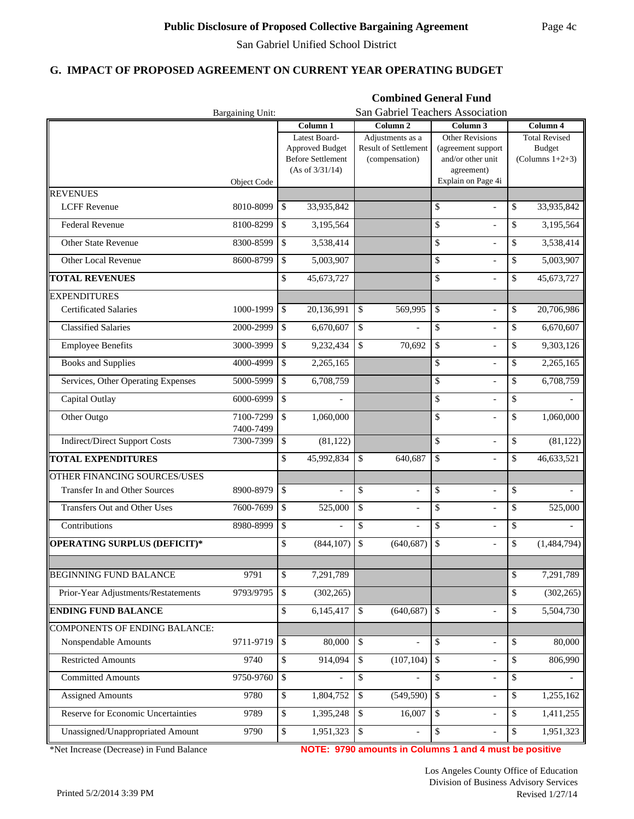**Combined General Fund**

#### **G. IMPACT OF PROPOSED AGREEMENT ON CURRENT YEAR OPERATING BUDGET**

|                                      | Bargaining Unit:       |                                            |                                                                                        |              |                                                            | San Gabriel Teachers Association |                                                                                 |          |                                                             |  |
|--------------------------------------|------------------------|--------------------------------------------|----------------------------------------------------------------------------------------|--------------|------------------------------------------------------------|----------------------------------|---------------------------------------------------------------------------------|----------|-------------------------------------------------------------|--|
|                                      |                        | Column <sub>2</sub><br>Column <sub>1</sub> |                                                                                        |              |                                                            | Column <sub>3</sub>              |                                                                                 | Column 4 |                                                             |  |
|                                      |                        |                                            | Latest Board-<br><b>Approved Budget</b><br><b>Before Settlement</b><br>(As of 3/31/14) |              | Adjustments as a<br>Result of Settlement<br>(compensation) |                                  | <b>Other Revisions</b><br>(agreement support<br>and/or other unit<br>agreement) |          | <b>Total Revised</b><br><b>Budget</b><br>(Columns $1+2+3$ ) |  |
|                                      | <b>Object Code</b>     |                                            |                                                                                        |              |                                                            |                                  | Explain on Page 4i                                                              |          |                                                             |  |
| <b>REVENUES</b>                      |                        |                                            |                                                                                        |              |                                                            |                                  |                                                                                 |          |                                                             |  |
| <b>LCFF</b> Revenue                  | 8010-8099              | \$                                         | 33,935,842                                                                             |              |                                                            | \$                               | $\blacksquare$                                                                  | \$       | 33,935,842                                                  |  |
| Federal Revenue                      | 8100-8299              | \$                                         | 3,195,564                                                                              |              |                                                            | \$                               | $\overline{a}$                                                                  | \$       | 3,195,564                                                   |  |
| <b>Other State Revenue</b>           | 8300-8599              | \$                                         | 3,538,414                                                                              |              |                                                            | $\mathbb{S}$                     | $\overline{a}$                                                                  | \$       | 3,538,414                                                   |  |
| Other Local Revenue                  | 8600-8799              | \$                                         | 5,003,907                                                                              |              |                                                            | \$                               | $\overline{\phantom{a}}$                                                        | \$       | 5,003,907                                                   |  |
| <b>TOTAL REVENUES</b>                |                        | \$                                         | 45,673,727                                                                             |              |                                                            | \$                               | $\overline{a}$                                                                  | \$       | 45,673,727                                                  |  |
| <b>EXPENDITURES</b>                  |                        |                                            |                                                                                        |              |                                                            |                                  |                                                                                 |          |                                                             |  |
| <b>Certificated Salaries</b>         | 1000-1999              | \$                                         | 20,136,991                                                                             | \$           | 569,995                                                    | \$                               | $\overline{a}$                                                                  | \$       | 20,706,986                                                  |  |
| <b>Classified Salaries</b>           | 2000-2999              | \$                                         | 6,670,607                                                                              | \$           |                                                            | \$                               | $\overline{a}$                                                                  | \$       | 6,670,607                                                   |  |
| <b>Employee Benefits</b>             | 3000-3999              | \$                                         | 9,232,434                                                                              | $\mathbb{S}$ | 70,692                                                     | \$                               | $\overline{a}$                                                                  | \$       | 9,303,126                                                   |  |
| <b>Books and Supplies</b>            | 4000-4999              | \$                                         | 2,265,165                                                                              |              |                                                            | \$                               | $\overline{\phantom{a}}$                                                        | \$       | 2,265,165                                                   |  |
| Services, Other Operating Expenses   | 5000-5999              | \$                                         | 6,708,759                                                                              |              |                                                            | \$                               | $\overline{\phantom{a}}$                                                        | \$       | 6,708,759                                                   |  |
| Capital Outlay                       | 6000-6999              | \$                                         |                                                                                        |              |                                                            | \$                               | $\frac{1}{2}$                                                                   | \$       |                                                             |  |
| Other Outgo                          | 7100-7299<br>7400-7499 | \$                                         | 1,060,000                                                                              |              |                                                            | \$                               | $\overline{\phantom{a}}$                                                        | \$       | 1,060,000                                                   |  |
| <b>Indirect/Direct Support Costs</b> | 7300-7399              | \$                                         | (81, 122)                                                                              |              |                                                            | \$                               | $\frac{1}{2}$                                                                   | \$       | (81, 122)                                                   |  |
| <b>TOTAL EXPENDITURES</b>            |                        | \$                                         | 45,992,834                                                                             | \$           | 640,687                                                    | \$                               | $\overline{a}$                                                                  | \$       | 46,633,521                                                  |  |
| OTHER FINANCING SOURCES/USES         |                        |                                            |                                                                                        |              |                                                            |                                  |                                                                                 |          |                                                             |  |
| Transfer In and Other Sources        | 8900-8979              | \$                                         | $\blacksquare$                                                                         | \$           | $\overline{a}$                                             | \$                               | $\frac{1}{2}$                                                                   | \$       |                                                             |  |
| Transfers Out and Other Uses         | 7600-7699              | \$                                         | 525,000                                                                                | \$           |                                                            | \$                               | $\overline{a}$                                                                  | \$       | 525,000                                                     |  |
| Contributions                        | 8980-8999              | \$                                         |                                                                                        | \$           |                                                            | \$                               | $\overline{a}$                                                                  | \$       |                                                             |  |
| OPERATING SURPLUS (DEFICIT)*         |                        | \$                                         | (844, 107)                                                                             | $\mathbb{S}$ | (640.687)                                                  | \$                               | $\overline{a}$                                                                  | \$       | (1,484,794)                                                 |  |
|                                      |                        |                                            |                                                                                        |              |                                                            |                                  |                                                                                 |          |                                                             |  |
| <b>BEGINNING FUND BALANCE</b>        | 9791                   | \$                                         | 7,291,789                                                                              |              |                                                            |                                  |                                                                                 | \$       | 7,291,789                                                   |  |
| Prior-Year Adjustments/Restatements  | 9793/9795              | \$                                         | (302, 265)                                                                             |              |                                                            |                                  |                                                                                 | \$       | (302, 265)                                                  |  |
| <b>ENDING FUND BALANCE</b>           |                        | \$                                         | 6,145,417                                                                              | \$           | (640, 687)                                                 | $\mathbb{S}$                     | $\blacksquare$                                                                  | \$       | 5,504,730                                                   |  |
| <b>COMPONENTS OF ENDING BALANCE:</b> |                        |                                            |                                                                                        |              |                                                            |                                  |                                                                                 |          |                                                             |  |
| Nonspendable Amounts                 | 9711-9719              | \$                                         | 80,000                                                                                 | $\mathbb{S}$ |                                                            | \$                               | $\frac{1}{2}$                                                                   | \$       | 80,000                                                      |  |
| <b>Restricted Amounts</b>            | 9740                   | \$                                         | 914,094                                                                                | $\mathbb{S}$ | (107, 104)                                                 | $\mathcal{S}$                    | $\overline{\phantom{0}}$                                                        | \$       | 806,990                                                     |  |
| <b>Committed Amounts</b>             | 9750-9760              | \$                                         |                                                                                        | \$           |                                                            | \$                               | $\overline{\phantom{0}}$                                                        | \$       |                                                             |  |
| <b>Assigned Amounts</b>              | 9780                   | \$                                         | 1,804,752                                                                              | \$           | (549, 590)                                                 | $\$$                             | $\overline{\phantom{a}}$                                                        | \$       | 1,255,162                                                   |  |
| Reserve for Economic Uncertainties   | 9789                   | \$                                         | 1,395,248                                                                              | \$           | 16,007                                                     | \$                               | $\overline{\phantom{a}}$                                                        | \$       | 1,411,255                                                   |  |
| Unassigned/Unappropriated Amount     | 9790                   | \$                                         | 1,951,323                                                                              | $\$\,$       |                                                            | $\$$                             | $\overline{\phantom{0}}$                                                        | \$       | 1,951,323                                                   |  |

\*Net Increase (Decrease) in Fund Balance

**NOTE: 9790 amounts in Columns 1 and 4 must be positive**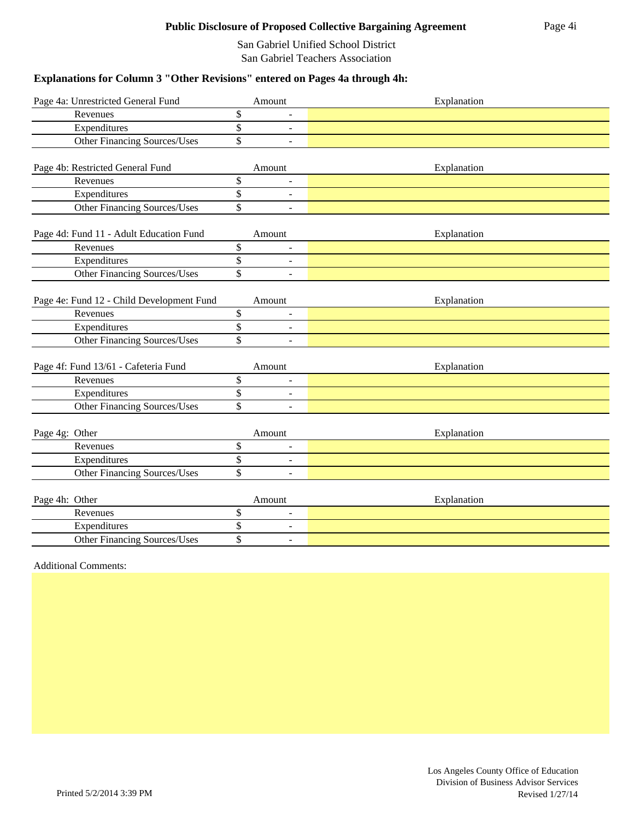San Gabriel Unified School District San Gabriel Teachers Association

## **Explanations for Column 3 "Other Revisions" entered on Pages 4a through 4h:**

| Page 4a: Unrestricted General Fund        |                         | Amount                   | Explanation |
|-------------------------------------------|-------------------------|--------------------------|-------------|
| Revenues                                  | \$                      |                          |             |
| Expenditures                              | $\overline{\mathbb{S}}$ | $\overline{\phantom{a}}$ |             |
| Other Financing Sources/Uses              | \$                      | $\overline{a}$           |             |
| Page 4b: Restricted General Fund          |                         | Amount                   | Explanation |
| Revenues                                  | \$                      | $\overline{a}$           |             |
| Expenditures                              | \$                      | $\overline{\phantom{a}}$ |             |
| Other Financing Sources/Uses              | \$                      | $\overline{a}$           |             |
| Page 4d: Fund 11 - Adult Education Fund   |                         | Amount                   | Explanation |
| Revenues                                  | \$                      | $\overline{a}$           |             |
| Expenditures                              | \$                      | $\overline{\phantom{a}}$ |             |
| Other Financing Sources/Uses              | $\overline{\$}$         | $\overline{a}$           |             |
| Page 4e: Fund 12 - Child Development Fund |                         | Amount                   | Explanation |
| Revenues                                  | \$                      | $\overline{a}$           |             |
| Expenditures                              | $\overline{\$}$         | $\overline{\phantom{a}}$ |             |
| <b>Other Financing Sources/Uses</b>       | \$                      | $\overline{a}$           |             |
| Page 4f: Fund 13/61 - Cafeteria Fund      |                         | Amount                   | Explanation |
| Revenues                                  | \$                      | $\overline{a}$           |             |
| Expenditures                              | \$                      | $\blacksquare$           |             |
| Other Financing Sources/Uses              | $\overline{\$}$         | $\overline{a}$           |             |
| Page 4g: Other                            |                         | Amount                   | Explanation |
| Revenues                                  | \$                      | ÷,                       |             |
| Expenditures                              | \$                      | $\overline{\phantom{a}}$ |             |
| <b>Other Financing Sources/Uses</b>       | \$                      | $\overline{a}$           |             |
| Page 4h: Other                            |                         | Amount                   | Explanation |
| Revenues                                  | \$                      | $\overline{a}$           |             |
| Expenditures                              | \$                      | ÷,                       |             |
| Other Financing Sources/Uses              | \$                      | $\overline{a}$           |             |

Additional Comments: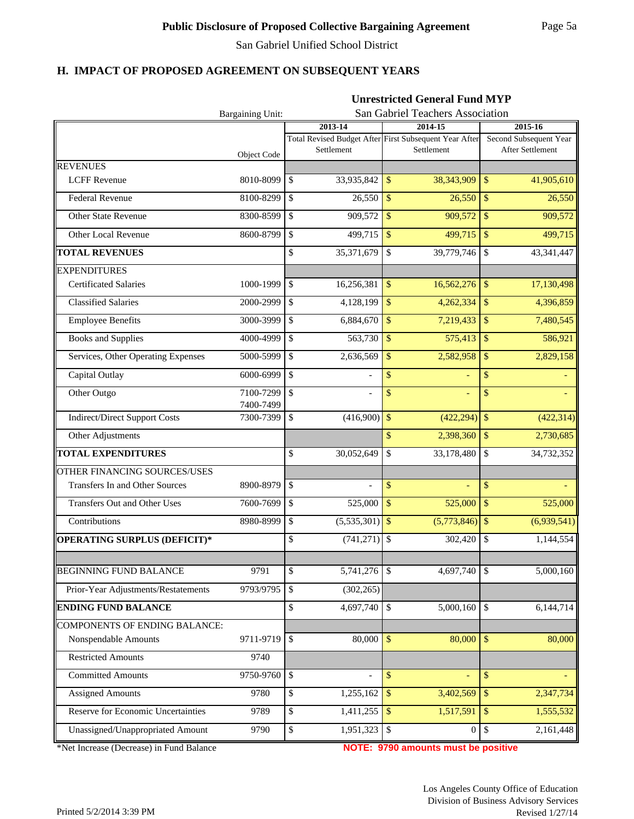## **H. IMPACT OF PROPOSED AGREEMENT ON SUBSEQUENT YEARS**

|                                      |                        | <b>Unrestricted General Fund MYP</b>          |                                                                      |                                            |  |  |  |  |  |
|--------------------------------------|------------------------|-----------------------------------------------|----------------------------------------------------------------------|--------------------------------------------|--|--|--|--|--|
|                                      | Bargaining Unit:       | San Gabriel Teachers Association              |                                                                      |                                            |  |  |  |  |  |
|                                      |                        | 2013-14                                       | 2014-15                                                              | 2015-16                                    |  |  |  |  |  |
|                                      | Object Code            | Settlement                                    | Total Revised Budget After First Subsequent Year After<br>Settlement | Second Subsequent Year<br>After Settlement |  |  |  |  |  |
| <b>REVENUES</b>                      |                        |                                               |                                                                      |                                            |  |  |  |  |  |
| <b>LCFF Revenue</b>                  | 8010-8099              | \$<br>33,935,842                              | 38,343,909<br>$\mathbb{S}$                                           | 41,905,610<br>$\mathcal{S}$                |  |  |  |  |  |
| <b>Federal Revenue</b>               | 8100-8299              | $\mathbb{S}$<br>26,550                        | $\overline{\mathbf{s}}$<br>26,550                                    | $\overline{\mathcal{S}}$<br>26,550         |  |  |  |  |  |
| Other State Revenue                  | 8300-8599              | \$<br>909,572                                 | $\sqrt{S}$<br>909,572                                                | $\mathsf{\$}$<br>909,572                   |  |  |  |  |  |
| Other Local Revenue                  | 8600-8799              | \$<br>499,715                                 | $\overline{\mathcal{S}}$<br>499,715                                  | $\mathcal{S}$<br>499,715                   |  |  |  |  |  |
| <b>TOTAL REVENUES</b>                |                        | \$<br>35,371,679                              | $\overline{\mathcal{S}}$<br>39,779,746                               | 43,341,447<br>$\mathcal{S}$                |  |  |  |  |  |
| <b>EXPENDITURES</b>                  |                        |                                               |                                                                      |                                            |  |  |  |  |  |
| <b>Certificated Salaries</b>         | 1000-1999              | \$<br>16,256,381                              | $\mathbf{\hat{S}}$<br>16,562,276                                     | $\mathbf{\hat{S}}$<br>17,130,498           |  |  |  |  |  |
| <b>Classified Salaries</b>           | 2000-2999              | $\mathbb{S}$<br>4,128,199                     | $\sqrt{S}$<br>4,262,334                                              | 4,396,859<br>$\mathcal{S}$                 |  |  |  |  |  |
| <b>Employee Benefits</b>             | 3000-3999              | $\mathbb{S}$<br>6,884,670                     | $\sqrt{S}$<br>7,219,433                                              | 7,480,545<br>$\mathcal{S}$                 |  |  |  |  |  |
| <b>Books and Supplies</b>            | 4000-4999              | $\mathbb{S}$<br>563,730                       | 575,413<br>$\mathcal{S}$                                             | $\mathcal{S}$<br>586,921                   |  |  |  |  |  |
| Services, Other Operating Expenses   | 5000-5999              | \$<br>2,636,569                               | $\mathbb{S}$<br>2,582,958                                            | $\sqrt{3}$<br>2,829,158                    |  |  |  |  |  |
| Capital Outlay                       | 6000-6999              | $\mathbb{S}$<br>$\overline{a}$                | \$                                                                   | \$                                         |  |  |  |  |  |
| Other Outgo                          | 7100-7299<br>7400-7499 | \$<br>$\overline{\phantom{a}}$                | \$                                                                   | \$                                         |  |  |  |  |  |
| <b>Indirect/Direct Support Costs</b> | 7300-7399              | \$<br>(416,900)                               | $\mathbb{S}$<br>(422, 294)                                           | $\sqrt{5}$<br>(422, 314)                   |  |  |  |  |  |
| Other Adjustments                    |                        |                                               | $\mathbb{S}$<br>2,398,360                                            | $\sqrt[6]{3}$<br>2,730,685                 |  |  |  |  |  |
| <b>TOTAL EXPENDITURES</b>            |                        | \$<br>30,052,649                              | \$<br>33,178,480                                                     | \$<br>34,732,352                           |  |  |  |  |  |
| <b>OTHER FINANCING SOURCES/USES</b>  |                        |                                               |                                                                      |                                            |  |  |  |  |  |
| Transfers In and Other Sources       | 8900-8979              | \$<br>$\overline{\phantom{0}}$                | \$<br>÷,                                                             | \$                                         |  |  |  |  |  |
| <b>Transfers Out and Other Uses</b>  | 7600-7699              | \$<br>525,000                                 | $\sqrt[6]{\frac{1}{2}}$<br>525,000                                   | $\sqrt{3}$<br>525,000                      |  |  |  |  |  |
| Contributions                        | 8980-8999              | \$<br>$(5,535,301)$ \$                        | (5,773,846)                                                          | $\sqrt{S}$<br>(6,939,541)                  |  |  |  |  |  |
| <b>OPERATING SURPLUS (DEFICIT)*</b>  |                        | \$<br>$(741, 271)$ \$                         | 302,420                                                              | $\boldsymbol{\mathsf{S}}$<br>1,144,554     |  |  |  |  |  |
|                                      |                        |                                               |                                                                      |                                            |  |  |  |  |  |
| <b>BEGINNING FUND BALANCE</b>        | 9791                   | 5,741,276 \$<br>\$                            | 4,697,740                                                            | 5,000,160<br>$\mathcal{S}$                 |  |  |  |  |  |
| Prior-Year Adjustments/Restatements  | 9793/9795              | $\boldsymbol{\mathsf{S}}$<br>(302, 265)       |                                                                      |                                            |  |  |  |  |  |
| <b>ENDING FUND BALANCE</b>           |                        | \$<br>4,697,740                               | 5,000,160<br>l \$                                                    | $\mathcal{S}$<br>6,144,714                 |  |  |  |  |  |
| <b>COMPONENTS OF ENDING BALANCE:</b> |                        |                                               |                                                                      |                                            |  |  |  |  |  |
| Nonspendable Amounts                 | 9711-9719              | \$<br>$80,000$ \$                             | 80,000                                                               | $\sqrt{5}$<br>80,000                       |  |  |  |  |  |
| <b>Restricted Amounts</b>            | 9740                   |                                               |                                                                      |                                            |  |  |  |  |  |
| <b>Committed Amounts</b>             | 9750-9760              | $\mathbb{S}$<br>$\overline{a}$                | $\mathbf{\hat{S}}$                                                   | $\mathbb{S}$                               |  |  |  |  |  |
| <b>Assigned Amounts</b>              | 9780                   | \$<br>1,255,162                               | 3,402,569<br>$\sqrt{5}$                                              | $\mathbb{S}$<br>2,347,734                  |  |  |  |  |  |
| Reserve for Economic Uncertainties   | 9789                   | $\boldsymbol{\mathsf{S}}$<br>$1,411,255$   \$ | 1,517,591                                                            | 1,555,532<br>$\mathbb{S}$                  |  |  |  |  |  |
| Unassigned/Unappropriated Amount     | 9790                   | $\boldsymbol{\mathsf{S}}$<br>1,951,323        | $\sqrt{3}$<br>$\Omega$                                               | 2,161,448<br>$\mathbb{S}$                  |  |  |  |  |  |

\*Net Increase (Decrease) in Fund Balance **NOTE: 9790 amounts must be positive**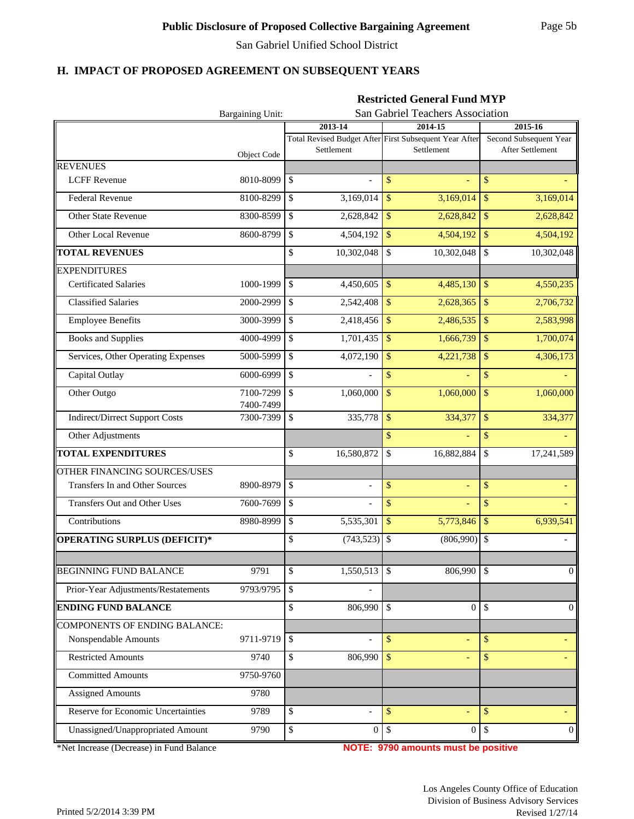## **H. IMPACT OF PROPOSED AGREEMENT ON SUBSEQUENT YEARS**

|                                       |                        | <b>Restricted General Fund MYP</b> |                                                                      |                                            |  |  |  |  |  |
|---------------------------------------|------------------------|------------------------------------|----------------------------------------------------------------------|--------------------------------------------|--|--|--|--|--|
|                                       | Bargaining Unit:       | San Gabriel Teachers Association   |                                                                      |                                            |  |  |  |  |  |
|                                       |                        | 2013-14                            | 2014-15                                                              | 2015-16                                    |  |  |  |  |  |
|                                       | Object Code            | Settlement                         | Total Revised Budget After First Subsequent Year After<br>Settlement | Second Subsequent Year<br>After Settlement |  |  |  |  |  |
| <b>REVENUES</b>                       |                        |                                    |                                                                      |                                            |  |  |  |  |  |
| <b>LCFF</b> Revenue                   | 8010-8099              | \$<br>$\overline{\phantom{a}}$     | \$                                                                   | \$                                         |  |  |  |  |  |
| <b>Federal Revenue</b>                | 8100-8299              | \$<br>3,169,014                    | \$<br>3,169,014                                                      | \$<br>3,169,014                            |  |  |  |  |  |
| Other State Revenue                   | 8300-8599              | \$<br>2,628,842                    | \$<br>2,628,842                                                      | $\sqrt{5}$<br>2,628,842                    |  |  |  |  |  |
| Other Local Revenue                   | 8600-8799              | \$<br>4,504,192                    | $\mathbf{\hat{S}}$<br>4,504,192                                      | 4,504,192<br>$\sqrt[6]{\frac{1}{2}}$       |  |  |  |  |  |
| <b>TOTAL REVENUES</b>                 |                        | \$<br>10,302,048                   | \$<br>10,302,048                                                     | \$<br>10,302,048                           |  |  |  |  |  |
| <b>EXPENDITURES</b>                   |                        |                                    |                                                                      |                                            |  |  |  |  |  |
| <b>Certificated Salaries</b>          | 1000-1999              | \$<br>4,450,605                    | $\mathbf{\hat{S}}$<br>4,485,130                                      | $\mathbb{S}$<br>4,550,235                  |  |  |  |  |  |
| <b>Classified Salaries</b>            | 2000-2999              | \$<br>2,542,408                    | $\mathbf{\$}$<br>2,628,365                                           | $\sqrt{S}$<br>2,706,732                    |  |  |  |  |  |
| <b>Employee Benefits</b>              | 3000-3999              | \$<br>2,418,456                    | $\mathbf{\hat{S}}$<br>2,486,535                                      | 2,583,998<br>$\mathcal{S}$                 |  |  |  |  |  |
| <b>Books and Supplies</b>             | 4000-4999              | \$<br>1,701,435                    | $\sqrt{3}$<br>1,666,739                                              | 1,700,074<br>$\mathbb{S}$                  |  |  |  |  |  |
| Services, Other Operating Expenses    | 5000-5999              | \$<br>4,072,190                    | $\mathbf{\hat{S}}$<br>4,221,738                                      | $\mathbb{S}$<br>4,306,173                  |  |  |  |  |  |
| Capital Outlay                        | 6000-6999              | \$                                 | \$                                                                   | \$                                         |  |  |  |  |  |
| Other Outgo                           | 7100-7299              | $\mathsf{\$}$<br>1,060,000         | $\mathbf{\hat{S}}$<br>1,060,000                                      | $\mathbb{S}$<br>1,060,000                  |  |  |  |  |  |
| <b>Indirect/Dirrect Support Costs</b> | 7400-7499<br>7300-7399 | $\mathbb{S}$<br>335,778            | 334,377<br>\$                                                        | 334,377<br>$\mathcal{S}$                   |  |  |  |  |  |
| Other Adjustments                     |                        |                                    | $\mathbb{S}$                                                         | \$                                         |  |  |  |  |  |
| <b>TOTAL EXPENDITURES</b>             |                        | \$<br>16,580,872                   | \$<br>16,882,884                                                     | \$<br>17,241,589                           |  |  |  |  |  |
| OTHER FINANCING SOURCES/USES          |                        |                                    |                                                                      |                                            |  |  |  |  |  |
| Transfers In and Other Sources        | 8900-8979              | \$<br>$\overline{a}$               | \$<br>L,                                                             | \$                                         |  |  |  |  |  |
| <b>Transfers Out and Other Uses</b>   | 7600-7699              | \$<br>$\overline{a}$               | \$<br>L,                                                             | \$                                         |  |  |  |  |  |
| Contributions                         | 8980-8999              | \$<br>5,535,301                    | \$<br>5,773,846                                                      | \$<br>6,939,541                            |  |  |  |  |  |
| <b>OPERATING SURPLUS (DEFICIT)*</b>   |                        | \$<br>(743, 523)                   | \$<br>(806,990)                                                      | l \$                                       |  |  |  |  |  |
|                                       |                        |                                    |                                                                      |                                            |  |  |  |  |  |
| <b>BEGINNING FUND BALANCE</b>         | 9791                   | $1,550,513$ \$<br>\$               | 806,990                                                              | $\mathcal{S}$<br>$\Omega$                  |  |  |  |  |  |
| Prior-Year Adjustments/Restatements   | 9793/9795              | \$                                 |                                                                      |                                            |  |  |  |  |  |
| <b>ENDING FUND BALANCE</b>            |                        | 806,990<br>\$                      | $\Omega$<br><sup>\$</sup>                                            | $\mathbb{S}$<br>$\Omega$                   |  |  |  |  |  |
| <b>COMPONENTS OF ENDING BALANCE:</b>  |                        |                                    |                                                                      |                                            |  |  |  |  |  |
| Nonspendable Amounts                  | 9711-9719              | \$<br>$\overline{a}$               | \$                                                                   | \$                                         |  |  |  |  |  |
| <b>Restricted Amounts</b>             | 9740                   | 806,990<br>\$                      | $\mathcal{S}$                                                        | \$                                         |  |  |  |  |  |
| <b>Committed Amounts</b>              | 9750-9760              |                                    |                                                                      |                                            |  |  |  |  |  |
| <b>Assigned Amounts</b>               | 9780                   |                                    |                                                                      |                                            |  |  |  |  |  |
| Reserve for Economic Uncertainties    | 9789                   | \$                                 | $\mathbf{\$}$                                                        | $\mathbf{\$}$                              |  |  |  |  |  |
| Unassigned/Unappropriated Amount      | 9790                   | $\mathbb{S}$                       | 0 <sup>1</sup><br>$\overline{0}$                                     | $\mathbb{S}$<br>$\overline{0}$             |  |  |  |  |  |

\*Net Increase (Decrease) in Fund Balance **NOTE: 9790 amounts must be positive**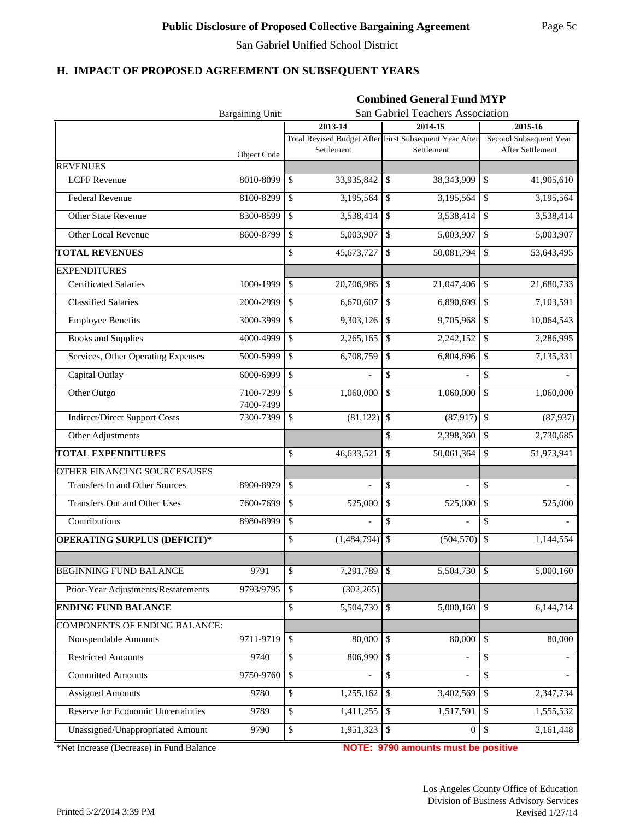## **H. IMPACT OF PROPOSED AGREEMENT ON SUBSEQUENT YEARS**

|                                           |                        | <b>Combined General Fund MYP</b> |                                                                      |                                            |  |  |  |  |  |
|-------------------------------------------|------------------------|----------------------------------|----------------------------------------------------------------------|--------------------------------------------|--|--|--|--|--|
|                                           | Bargaining Unit:       | San Gabriel Teachers Association |                                                                      |                                            |  |  |  |  |  |
|                                           |                        | 2013-14                          | 2014-15                                                              | 2015-16                                    |  |  |  |  |  |
|                                           | Object Code            | Settlement                       | Total Revised Budget After First Subsequent Year After<br>Settlement | Second Subsequent Year<br>After Settlement |  |  |  |  |  |
| <b>REVENUES</b>                           |                        |                                  |                                                                      |                                            |  |  |  |  |  |
| <b>LCFF Revenue</b>                       | 8010-8099              | \$<br>33,935,842                 | $\mathcal{S}$<br>38,343,909                                          | 41,905,610<br>\$                           |  |  |  |  |  |
| <b>Federal Revenue</b>                    | 8100-8299              | \$<br>3,195,564                  | $\overline{\mathcal{S}}$<br>3,195,564                                | $\overline{\mathcal{S}}$<br>3,195,564      |  |  |  |  |  |
| Other State Revenue                       | 8300-8599              | \$<br>3,538,414                  | $\mathcal{S}$<br>3,538,414                                           | \$<br>3,538,414                            |  |  |  |  |  |
| Other Local Revenue                       | 8600-8799              | \$<br>5,003,907                  | $\mathcal{S}$<br>5,003,907                                           | \$<br>5,003,907                            |  |  |  |  |  |
| <b>TOTAL REVENUES</b>                     |                        | \$<br>45,673,727                 | $\mathbf S$<br>50,081,794                                            | 53,643,495<br>\$                           |  |  |  |  |  |
| <b>EXPENDITURES</b>                       |                        |                                  |                                                                      |                                            |  |  |  |  |  |
| <b>Certificated Salaries</b>              | 1000-1999              | \$<br>20,706,986                 | $\mathbf{\hat{S}}$<br>21,047,406                                     | \$<br>21,680,733                           |  |  |  |  |  |
| <b>Classified Salaries</b>                | 2000-2999              | \$<br>6,670,607                  | $\mathbf S$<br>$\overline{6,890,699}$                                | \$<br>7,103,591                            |  |  |  |  |  |
| <b>Employee Benefits</b>                  | 3000-3999              | \$<br>9,303,126                  | $\mathcal{S}$<br>9,705,968                                           | $\mathcal{S}$<br>10,064,543                |  |  |  |  |  |
| <b>Books and Supplies</b>                 | 4000-4999              | \$<br>2,265,165                  | $\mathcal{S}$<br>2,242,152                                           | $\mathcal{S}$<br>2,286,995                 |  |  |  |  |  |
| Services, Other Operating Expenses        | 5000-5999              | \$<br>6,708,759                  | $\mathcal{S}$<br>6,804,696                                           | $\mathcal{S}$<br>7,135,331                 |  |  |  |  |  |
| Capital Outlay                            | 6000-6999              | \$                               | \$                                                                   | \$                                         |  |  |  |  |  |
| Other Outgo                               | 7100-7299<br>7400-7499 | \$<br>1,060,000                  | \$<br>1,060,000                                                      | \$<br>1,060,000                            |  |  |  |  |  |
| <b>Indirect/Direct Support Costs</b>      | 7300-7399              | \$<br>(81, 122)                  | $\sqrt{3}$<br>(87, 917)                                              | $\mathcal{S}$<br>(87, 937)                 |  |  |  |  |  |
| Other Adjustments                         |                        |                                  | \$<br>2,398,360                                                      | \$<br>2,730,685                            |  |  |  |  |  |
| <b>TOTAL EXPENDITURES</b>                 |                        | \$<br>46,633,521                 | \$<br>50,061,364                                                     | \$<br>51,973,941                           |  |  |  |  |  |
| OTHER FINANCING SOURCES/USES              |                        |                                  |                                                                      |                                            |  |  |  |  |  |
| Transfers In and Other Sources            | 8900-8979              | \$<br>$\overline{a}$             | \$<br>$\overline{a}$                                                 | \$                                         |  |  |  |  |  |
| Transfers Out and Other Uses              | 7600-7699              | \$<br>525,000                    | \$<br>525,000                                                        | \$<br>525,000                              |  |  |  |  |  |
| Contributions                             | 8980-8999              | \$                               | \$                                                                   | \$                                         |  |  |  |  |  |
| OPERATING SURPLUS (DEFICIT)*              |                        | $(1,484,794)$ \$<br>\$           | (504, 570)                                                           | $\overline{\mathcal{S}}$<br>1,144,554      |  |  |  |  |  |
|                                           |                        |                                  |                                                                      |                                            |  |  |  |  |  |
| <b>BEGINNING FUND BALANCE</b>             | 9791                   | \$<br>7,291,789                  | 5,504,730<br>$\mathbb{S}$                                            | 5,000,160<br>$\mathcal{S}$                 |  |  |  |  |  |
| Prior-Year Adjustments/Restatements       | 9793/9795              | \$<br>(302, 265)                 |                                                                      |                                            |  |  |  |  |  |
| <b>ENDING FUND BALANCE</b>                |                        | \$<br>5,504,730                  | 5,000,160<br>$\mathcal{S}$                                           | $\mathbb{S}$<br>6,144,714                  |  |  |  |  |  |
| <b>COMPONENTS OF ENDING BALANCE:</b>      |                        |                                  |                                                                      |                                            |  |  |  |  |  |
| Nonspendable Amounts                      | 9711-9719              | \$<br>80,000                     | $\mathcal{S}$<br>80,000                                              | 80,000<br>$\mathbb{S}$                     |  |  |  |  |  |
| <b>Restricted Amounts</b>                 | 9740                   | \$<br>806,990                    | $\mathbb{S}$                                                         | \$                                         |  |  |  |  |  |
| <b>Committed Amounts</b>                  | 9750-9760              | \$                               | \$                                                                   | \$                                         |  |  |  |  |  |
| <b>Assigned Amounts</b>                   | 9780                   | \$<br>1,255,162                  | 3,402,569<br>$\mathcal{S}$                                           | $\mathbb{S}$<br>2,347,734                  |  |  |  |  |  |
| <b>Reserve for Economic Uncertainties</b> | 9789                   | \$<br>1,411,255                  | 1,517,591<br>$\mathcal{S}$                                           | 1,555,532<br>$\mathcal{S}$                 |  |  |  |  |  |
| Unassigned/Unappropriated Amount          | 9790                   | \$<br>1,951,323                  | $\mathcal{S}$<br>$\Omega$                                            | 2,161,448<br>$\sqrt$                       |  |  |  |  |  |

\*Net Increase (Decrease) in Fund Balance

**NOTE: 9790 amounts must be positive**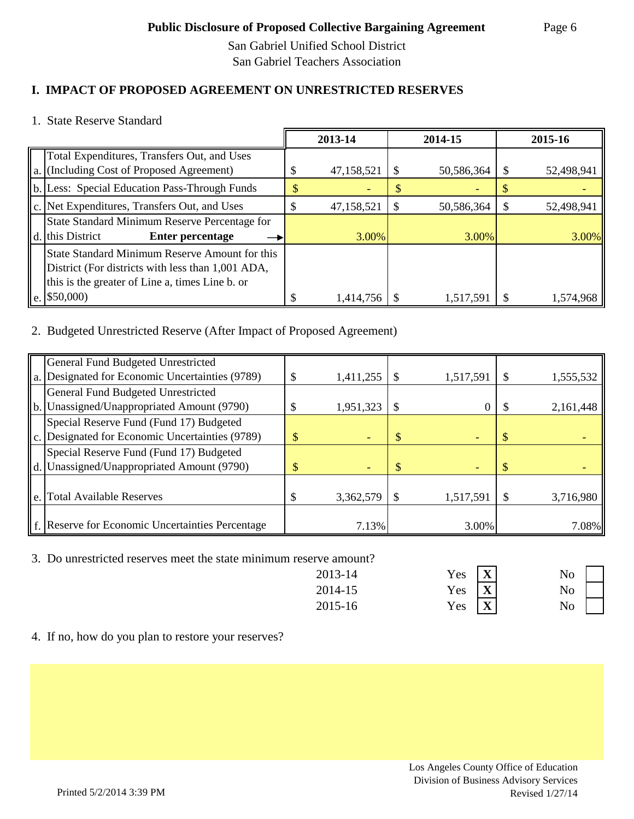San Gabriel Unified School District San Gabriel Teachers Association

# **I. IMPACT OF PROPOSED AGREEMENT ON UNRESTRICTED RESERVES**

1. State Reserve Standard

|                                                     | 2013-14    |   | 2014-15    |   | 2015-16    |
|-----------------------------------------------------|------------|---|------------|---|------------|
| Total Expenditures, Transfers Out, and Uses         |            |   |            |   |            |
| a. (Including Cost of Proposed Agreement)           | 47,158,521 | S | 50,586,364 | S | 52,498,941 |
| b. Less: Special Education Pass-Through Funds       |            |   |            |   |            |
| $\ c\ $ . Net Expenditures, Transfers Out, and Uses | 47,158,521 |   | 50,586,364 |   | 52,498,941 |
| State Standard Minimum Reserve Percentage for       |            |   |            |   |            |
| d. this District<br><b>Enter percentage</b>         | 3.00%      |   | 3.00%      |   | 3.00%      |
| State Standard Minimum Reserve Amount for this      |            |   |            |   |            |
| District (For districts with less than 1,001 ADA,   |            |   |            |   |            |
| this is the greater of Line a, times Line b. or     |            |   |            |   |            |
| $\ e. $ \$50,000)                                   | 1,414,756  |   | 1,517,591  |   | 1.574.968  |

# 2. Budgeted Unrestricted Reserve (After Impact of Proposed Agreement)

|    | General Fund Budgeted Unrestricted               |                 |           |           |
|----|--------------------------------------------------|-----------------|-----------|-----------|
|    | a. Designated for Economic Uncertainties (9789)  | \$<br>1,411,255 | 1,517,591 | 1,555,532 |
|    | General Fund Budgeted Unrestricted               |                 |           |           |
|    | b. Unassigned/Unappropriated Amount (9790)       | 1,951,323       |           | 2,161,448 |
|    | Special Reserve Fund (Fund 17) Budgeted          |                 |           |           |
|    | c. Designated for Economic Uncertainties (9789)  |                 |           |           |
|    | Special Reserve Fund (Fund 17) Budgeted          |                 |           |           |
|    | d. Unassigned/Unappropriated Amount (9790)       |                 |           |           |
|    |                                                  |                 |           |           |
| e. | <b>Total Available Reserves</b>                  | 3,362,579       | 1,517,591 | 3,716,980 |
|    |                                                  |                 |           |           |
|    | f. Reserve for Economic Uncertainties Percentage | 7.13%           | 3.00%     | 7.08%     |

3. Do unrestricted reserves meet the state minimum reserve amount?

| 2013-14 | $Yes \tX$                   | Nο |
|---------|-----------------------------|----|
| 2014-15 | Yes $\overline{\mathbf{X}}$ | No |
| 2015-16 | Yes $\overline{\mathbf{X}}$ | No |



4. If no, how do you plan to restore your reserves?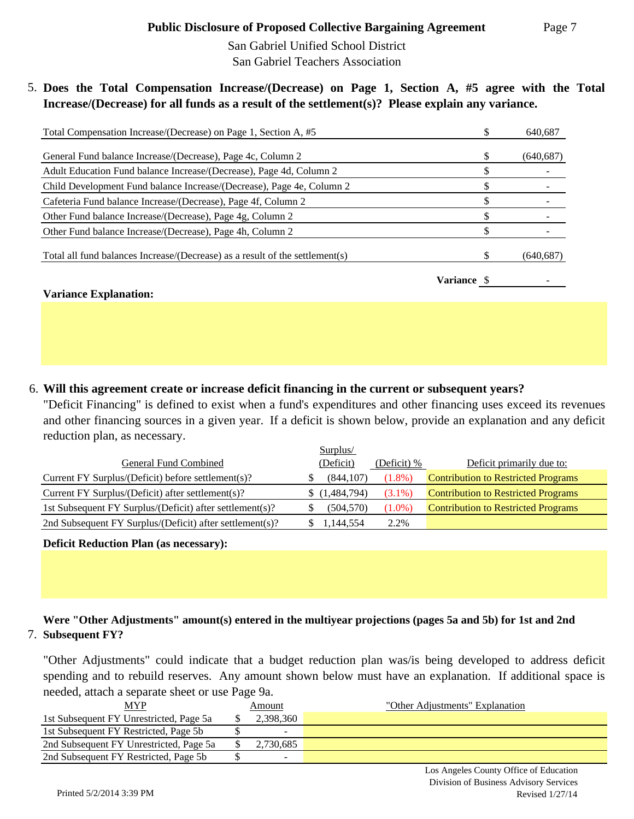San Gabriel Unified School District San Gabriel Teachers Association

5. **Does the Total Compensation Increase/(Decrease) on Page 1, Section A, #5 agree with the Total Increase/(Decrease) for all funds as a result of the settlement(s)? Please explain any variance.** 

| Total Compensation Increase/(Decrease) on Page 1, Section A, #5              |             | 640,687    |
|------------------------------------------------------------------------------|-------------|------------|
| General Fund balance Increase/(Decrease), Page 4c, Column 2                  |             | (640, 687) |
| Adult Education Fund balance Increase/(Decrease), Page 4d, Column 2          |             |            |
| Child Development Fund balance Increase/(Decrease), Page 4e, Column 2        |             |            |
| Cafeteria Fund balance Increase/(Decrease), Page 4f, Column 2                |             |            |
| Other Fund balance Increase/(Decrease), Page 4g, Column 2                    |             |            |
| Other Fund balance Increase/(Decrease), Page 4h, Column 2                    |             |            |
| Total all fund balances Increase/(Decrease) as a result of the settlement(s) |             | (640, 687) |
|                                                                              | Variance \$ |            |
| <b>Variance Explanation:</b>                                                 |             |            |

# 6. **Will this agreement create or increase deficit financing in the current or subsequent years?**

"Deficit Financing" is defined to exist when a fund's expenditures and other financing uses exceed its revenues and other financing sources in a given year. If a deficit is shown below, provide an explanation and any deficit reduction plan, as necessary.

|                                                          | Surplus/      |             |                                            |
|----------------------------------------------------------|---------------|-------------|--------------------------------------------|
| General Fund Combined                                    | (Deficit)     | (Deficit) % | Deficit primarily due to:                  |
| Current FY Surplus/(Deficit) before settlement(s)?       | (844, 107)    | $(1.8\%)$   | <b>Contribution to Restricted Programs</b> |
| Current FY Surplus/(Deficit) after settlement(s)?        | \$(1,484,794) | $(3.1\%)$   | <b>Contribution to Restricted Programs</b> |
| 1st Subsequent FY Surplus/(Deficit) after settlement(s)? | (504, 570)    | $(1.0\%)$   | <b>Contribution to Restricted Programs</b> |
| 2nd Subsequent FY Surplus/(Deficit) after settlement(s)? | 1,144,554     | 2.2%        |                                            |

**Deficit Reduction Plan (as necessary):**

# 7. **Subsequent FY? Were "Other Adjustments" amount(s) entered in the multiyear projections (pages 5a and 5b) for 1st and 2nd**

"Other Adjustments" could indicate that a budget reduction plan was/is being developed to address deficit spending and to rebuild reserves. Any amount shown below must have an explanation. If additional space is needed, attach a separate sheet or use Page 9a.

| MYP                                     | Amount                   | "Other Adjustments" Explanation |
|-----------------------------------------|--------------------------|---------------------------------|
| 1st Subsequent FY Unrestricted, Page 5a | 2,398,360                |                                 |
| 1st Subsequent FY Restricted, Page 5b   | $\overline{\phantom{0}}$ |                                 |
| 2nd Subsequent FY Unrestricted, Page 5a | 2,730,685                |                                 |
| 2nd Subsequent FY Restricted, Page 5b   | ۰.                       |                                 |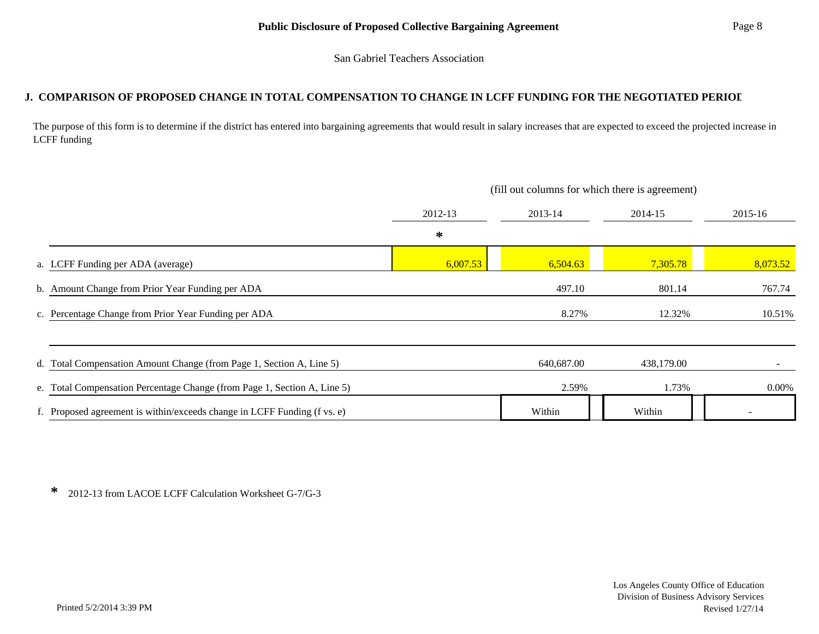San Gabriel Teachers Association

#### **J. COMPARISON OF PROPOSED CHANGE IN TOTAL COMPENSATION TO CHANGE IN LCFF FUNDING FOR THE NEGOTIATED PERIOD**

The purpose of this form is to determine if the district has entered into bargaining agreements that would result in salary increases that are expected to exceed the projected increase in LCFF funding

|                                                  |                                                                          | (fill out columns for which there is agreement) |            |            |          |  |  |
|--------------------------------------------------|--------------------------------------------------------------------------|-------------------------------------------------|------------|------------|----------|--|--|
|                                                  |                                                                          | 2012-13                                         | 2013-14    | 2014-15    | 2015-16  |  |  |
|                                                  |                                                                          | ∗                                               |            |            |          |  |  |
| a. LCFF Funding per ADA (average)                |                                                                          | 6,007.53                                        | 6,504.63   | 7,305.78   | 8,073.52 |  |  |
| b. Amount Change from Prior Year Funding per ADA |                                                                          |                                                 | 497.10     | 801.14     | 767.74   |  |  |
|                                                  | c. Percentage Change from Prior Year Funding per ADA                     |                                                 | 8.27%      | 12.32%     | 10.51%   |  |  |
|                                                  |                                                                          |                                                 |            |            |          |  |  |
|                                                  | d. Total Compensation Amount Change (from Page 1, Section A, Line 5)     |                                                 | 640,687.00 | 438,179.00 |          |  |  |
|                                                  | e. Total Compensation Percentage Change (from Page 1, Section A, Line 5) |                                                 | 2.59%      | 1.73%      | 0.00%    |  |  |
|                                                  | f. Proposed agreement is within/exceeds change in LCFF Funding (f vs. e) |                                                 | Within     | Within     |          |  |  |

**\*** 2012-13 from LACOE LCFF Calculation Worksheet G-7/G-3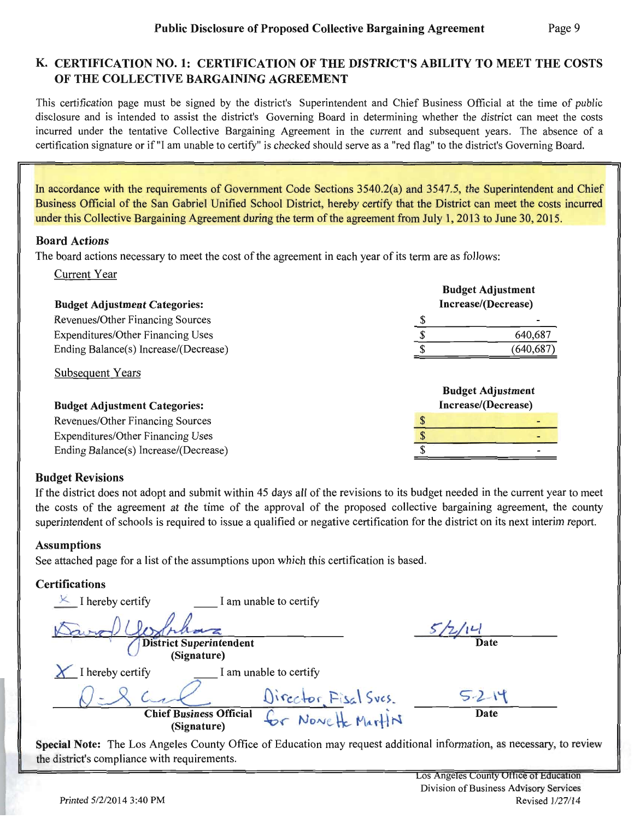# K. CERTIFICATION NO. 1: CERTIFICATION OF THE DISTRICT'S ABILITY TO MEET THE COSTS OF THE COLLECTIVE BARGAINING AGREEMENT

This certification page must be signed by the district's Superintendent and Chief Business Official at the time of public disclosure and is intended to assist the district's Governing Board in determining whether the district can meet the costs incurred under the tentative Collective Bargaining Agreement in the current and subsequent years. The absence of a certification signature or if "I am unable to certify" is checked should serve as a "red flag" to the district's Governing Board.

In accordance with the requirements of Government Code Sections 3540.2(a) and 3547.5, the Superintendent and Chief Business Official of the San Gabriel Unified School District, hereby certify that the District can meet the costs incurred under this Collective Bargaining Agreement during the term of the agreement from July 1, 2013 to June 30, 2015.

#### **Board Actions**

The board actions necessary to meet the cost of the agreement in each year of its term are as follows:

**Current Year** 

| <b>Budget Adjustment Categories:</b>  |                          | <b>Budget Adjustment</b><br>Increase/(Decrease) |  |  |
|---------------------------------------|--------------------------|-------------------------------------------------|--|--|
| Revenues/Other Financing Sources      |                          |                                                 |  |  |
| Expenditures/Other Financing Uses     |                          | 640,687                                         |  |  |
| Ending Balance(s) Increase/(Decrease) |                          | (640, 687)                                      |  |  |
| <b>Subsequent Years</b>               | <b>Budget Adjustment</b> |                                                 |  |  |
| <b>Budget Adjustment Categories:</b>  |                          | Increase/(Decrease)                             |  |  |
| Revenues/Other Financing Sources      |                          |                                                 |  |  |
| Expenditures/Other Financing Uses     |                          |                                                 |  |  |
| Ending Balance(s) Increase/(Decrease) |                          |                                                 |  |  |

#### **Budget Revisions**

If the district does not adopt and submit within 45 days all of the revisions to its budget needed in the current year to meet the costs of the agreement at the time of the approval of the proposed collective bargaining agreement, the county superintendent of schools is required to issue a qualified or negative certification for the district on its next interim report.

#### **Assumptions**

See attached page for a list of the assumptions upon which this certification is based.

#### **Certifications**

| I hereby certify                              | I am unable to certify |      |  |
|-----------------------------------------------|------------------------|------|--|
|                                               |                        |      |  |
| <b>District Superintendent</b><br>(Signature) |                        | Date |  |
| I hereby certify                              | I am unable to certify |      |  |
|                                               | Director Fisal Sves.   |      |  |
| <b>Chief Business Official</b><br>(Signature) | Nove He MartiN         | Date |  |

Special Note: The Los Angeles County Office of Education may request additional information, as necessary, to review the district's compliance with requirements.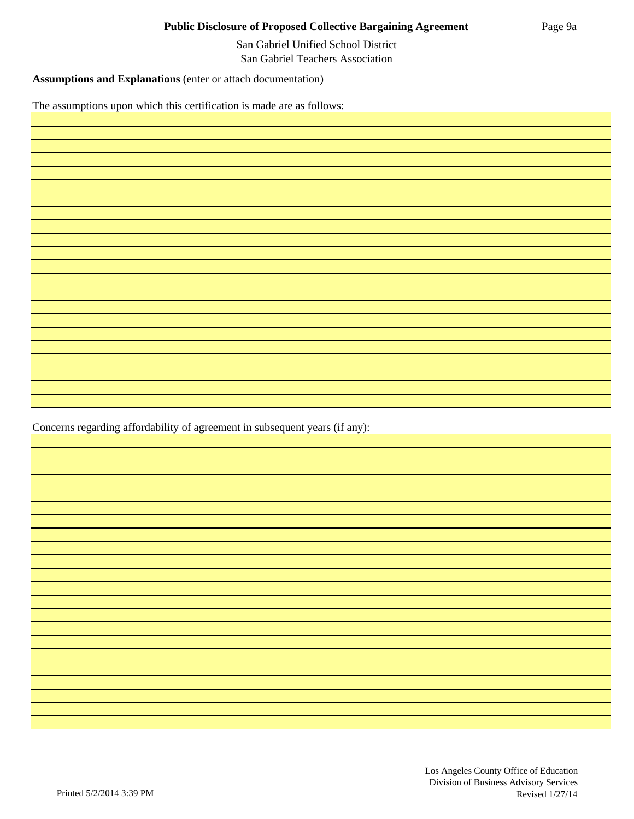San Gabriel Unified School District San Gabriel Teachers Association

**Assumptions and Explanations** (enter or attach documentation)

The assumptions upon which this certification is made are as follows:

Concerns regarding affordability of agreement in subsequent years (if any):